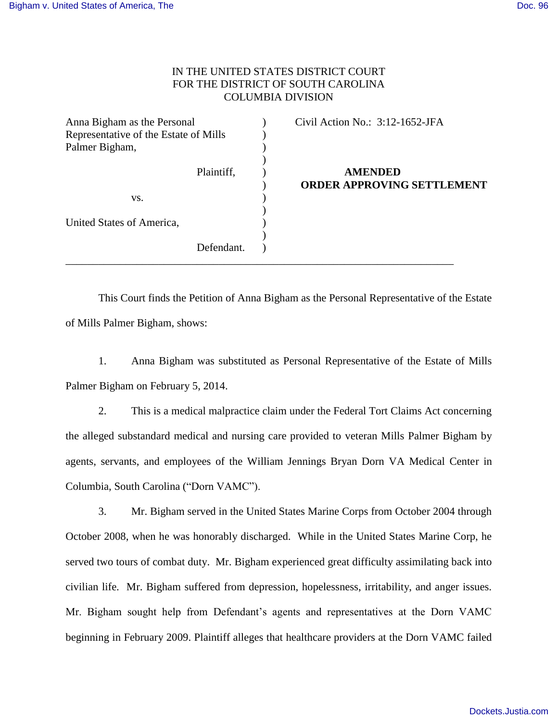## IN THE UNITED STATES DISTRICT COURT FOR THE DISTRICT OF SOUTH CAROLINA COLUMBIA DIVISION

| Anna Bigham as the Personal           |            | Civil Action No.: 3:12-1652-JFA                     |
|---------------------------------------|------------|-----------------------------------------------------|
| Representative of the Estate of Mills |            |                                                     |
| Palmer Bigham,                        |            |                                                     |
|                                       | Plaintiff, | <b>AMENDED</b><br><b>ORDER APPROVING SETTLEMENT</b> |
| VS.                                   |            |                                                     |
| United States of America,             |            |                                                     |
|                                       |            |                                                     |
|                                       | Defendant. |                                                     |

 This Court finds the Petition of Anna Bigham as the Personal Representative of the Estate of Mills Palmer Bigham, shows:

1. Anna Bigham was substituted as Personal Representative of the Estate of Mills Palmer Bigham on February 5, 2014.

2. This is a medical malpractice claim under the Federal Tort Claims Act concerning the alleged substandard medical and nursing care provided to veteran Mills Palmer Bigham by agents, servants, and employees of the William Jennings Bryan Dorn VA Medical Center in Columbia, South Carolina ("Dorn VAMC").

3. Mr. Bigham served in the United States Marine Corps from October 2004 through October 2008, when he was honorably discharged. While in the United States Marine Corp, he served two tours of combat duty. Mr. Bigham experienced great difficulty assimilating back into civilian life. Mr. Bigham suffered from depression, hopelessness, irritability, and anger issues. Mr. Bigham sought help from Defendant's agents and representatives at the Dorn VAMC beginning in February 2009. Plaintiff alleges that healthcare providers at the Dorn VAMC failed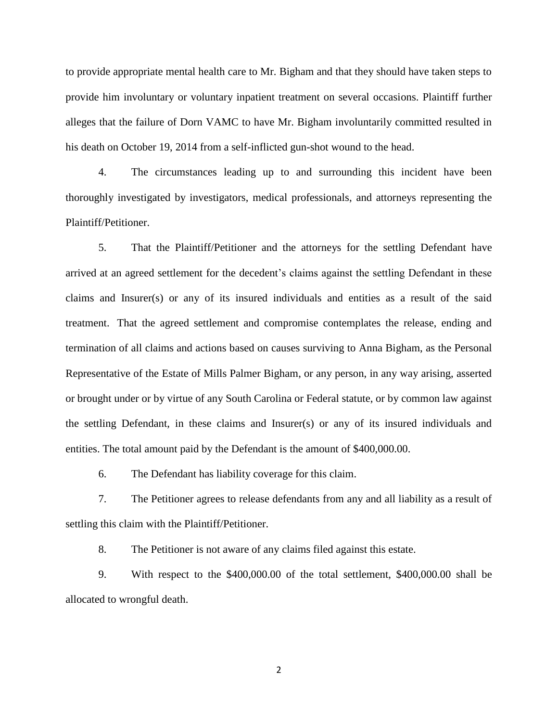to provide appropriate mental health care to Mr. Bigham and that they should have taken steps to provide him involuntary or voluntary inpatient treatment on several occasions. Plaintiff further alleges that the failure of Dorn VAMC to have Mr. Bigham involuntarily committed resulted in his death on October 19, 2014 from a self-inflicted gun-shot wound to the head.

4. The circumstances leading up to and surrounding this incident have been thoroughly investigated by investigators, medical professionals, and attorneys representing the Plaintiff/Petitioner.

5. That the Plaintiff/Petitioner and the attorneys for the settling Defendant have arrived at an agreed settlement for the decedent's claims against the settling Defendant in these claims and Insurer(s) or any of its insured individuals and entities as a result of the said treatment. That the agreed settlement and compromise contemplates the release, ending and termination of all claims and actions based on causes surviving to Anna Bigham, as the Personal Representative of the Estate of Mills Palmer Bigham, or any person, in any way arising, asserted or brought under or by virtue of any South Carolina or Federal statute, or by common law against the settling Defendant, in these claims and Insurer(s) or any of its insured individuals and entities. The total amount paid by the Defendant is the amount of \$400,000.00.

6. The Defendant has liability coverage for this claim.

7. The Petitioner agrees to release defendants from any and all liability as a result of settling this claim with the Plaintiff/Petitioner.

8. The Petitioner is not aware of any claims filed against this estate.

9. With respect to the \$400,000.00 of the total settlement, \$400,000.00 shall be allocated to wrongful death.

2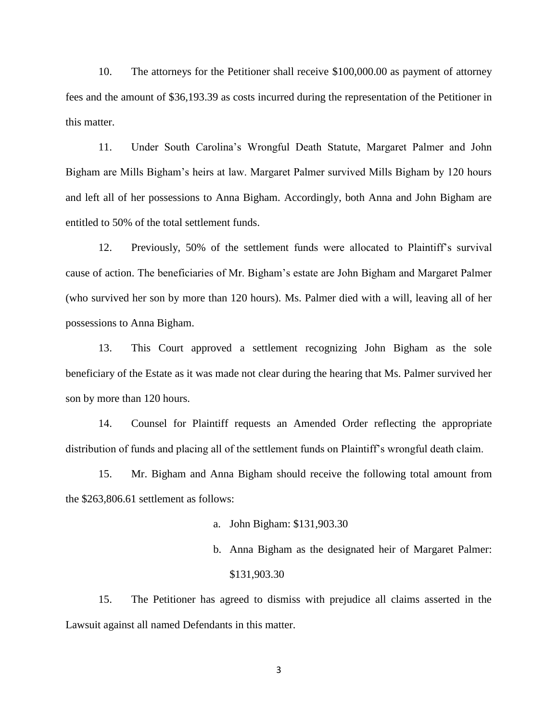10. The attorneys for the Petitioner shall receive \$100,000.00 as payment of attorney fees and the amount of \$36,193.39 as costs incurred during the representation of the Petitioner in this matter.

11. Under South Carolina's Wrongful Death Statute, Margaret Palmer and John Bigham are Mills Bigham's heirs at law. Margaret Palmer survived Mills Bigham by 120 hours and left all of her possessions to Anna Bigham. Accordingly, both Anna and John Bigham are entitled to 50% of the total settlement funds.

12. Previously, 50% of the settlement funds were allocated to Plaintiff's survival cause of action. The beneficiaries of Mr. Bigham's estate are John Bigham and Margaret Palmer (who survived her son by more than 120 hours). Ms. Palmer died with a will, leaving all of her possessions to Anna Bigham.

13. This Court approved a settlement recognizing John Bigham as the sole beneficiary of the Estate as it was made not clear during the hearing that Ms. Palmer survived her son by more than 120 hours.

14. Counsel for Plaintiff requests an Amended Order reflecting the appropriate distribution of funds and placing all of the settlement funds on Plaintiff's wrongful death claim.

15. Mr. Bigham and Anna Bigham should receive the following total amount from the \$263,806.61 settlement as follows:

- a. John Bigham: \$131,903.30
- b. Anna Bigham as the designated heir of Margaret Palmer: \$131,903.30

 15. The Petitioner has agreed to dismiss with prejudice all claims asserted in the Lawsuit against all named Defendants in this matter.

3